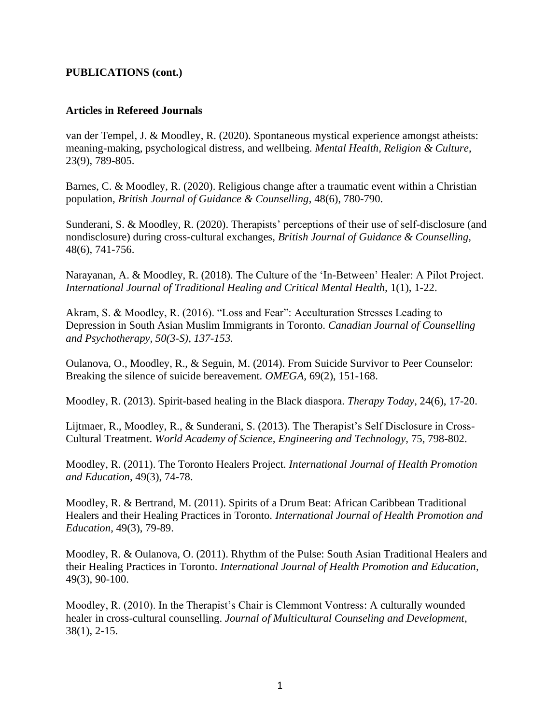## **PUBLICATIONS (cont.)**

## **Articles in Refereed Journals**

van der Tempel, J. & Moodley, R. (2020). Spontaneous mystical experience amongst atheists: meaning-making, psychological distress, and wellbeing. *Mental Health, Religion & Culture*, 23(9), 789-805.

Barnes, C. & Moodley, R. (2020). Religious change after a traumatic event within a Christian population, *British Journal of Guidance & Counselling*, 48(6), 780-790.

Sunderani, S. & Moodley, R. (2020). Therapists' perceptions of their use of self-disclosure (and nondisclosure) during cross-cultural exchanges, *British Journal of Guidance & Counselling,* 48(6), 741-756.

Narayanan, A. & Moodley, R. (2018). The Culture of the 'In-Between' Healer: A Pilot Project. *International Journal of Traditional Healing and Critical Mental Health,* 1(1), 1-22.

Akram, S. & Moodley, R. (2016). "Loss and Fear": Acculturation Stresses Leading to Depression in South Asian Muslim Immigrants in Toronto. *Canadian Journal of Counselling and Psychotherapy, 50(3-S), 137-153.*

Oulanova, O., Moodley, R., & Seguin, M. (2014). From Suicide Survivor to Peer Counselor: Breaking the silence of suicide bereavement. *OMEGA,* 69(2), 151-168.

Moodley, R. (2013). Spirit-based healing in the Black diaspora. *Therapy Today*, 24(6), 17-20.

Lijtmaer, R., Moodley, R., & Sunderani, S. (2013). The Therapist's Self Disclosure in Cross-Cultural Treatment. *World Academy of Science, Engineering and Technology,* 75, 798-802.

Moodley, R. (2011). The Toronto Healers Project. *International Journal of Health Promotion and Education*, 49(3), 74-78.

Moodley, R. & Bertrand, M. (2011). Spirits of a Drum Beat: African Caribbean Traditional Healers and their Healing Practices in Toronto. *International Journal of Health Promotion and Education*, 49(3), 79-89.

Moodley, R. & Oulanova, O. (2011). Rhythm of the Pulse: South Asian Traditional Healers and their Healing Practices in Toronto. *International Journal of Health Promotion and Education*, 49(3), 90-100.

Moodley, R. (2010). In the Therapist's Chair is Clemmont Vontress: A culturally wounded healer in cross-cultural counselling. *Journal of Multicultural Counseling and Development*, 38(1), 2-15.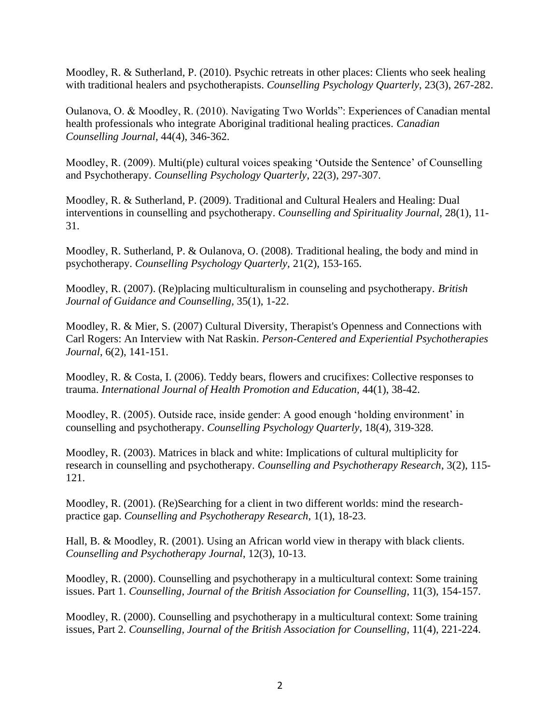Moodley, R. & Sutherland, P. (2010). Psychic retreats in other places: Clients who seek healing with traditional healers and psychotherapists. *Counselling Psychology Quarterly*, 23(3), 267-282.

Oulanova, O. & Moodley, R. (2010). Navigating Two Worlds": Experiences of Canadian mental health professionals who integrate Aboriginal traditional healing practices. *Canadian Counselling Journal,* 44(4), 346-362.

Moodley, R. (2009). Multi(ple) cultural voices speaking 'Outside the Sentence' of Counselling and Psychotherapy. *Counselling Psychology Quarterly*, 22(3), 297-307.

Moodley, R. & Sutherland, P. (2009). Traditional and Cultural Healers and Healing: Dual interventions in counselling and psychotherapy. *Counselling and Spirituality Journal*, 28(1), 11- 31.

Moodley, R. Sutherland, P. & Oulanova, O. (2008). Traditional healing, the body and mind in psychotherapy. *Counselling Psychology Quarterly,* 21(2), 153-165.

Moodley, R. (2007). (Re)placing multiculturalism in counseling and psychotherapy. *British Journal of Guidance and Counselling*, 35(1), 1-22.

Moodley, R. & Mier, S. (2007) Cultural Diversity, Therapist's Openness and Connections with Carl Rogers: An Interview with Nat Raskin. *Person-Centered and Experiential Psychotherapies Journal*, 6(2), 141-151.

Moodley, R. & Costa, I. (2006). Teddy bears, flowers and crucifixes: Collective responses to trauma. *International Journal of Health Promotion and Education,* 44(1), 38-42.

Moodley, R. (2005). Outside race, inside gender: A good enough 'holding environment' in counselling and psychotherapy. *Counselling Psychology Quarterly*, 18(4), 319-328.

Moodley, R. (2003). Matrices in black and white: Implications of cultural multiplicity for research in counselling and psychotherapy. *Counselling and Psychotherapy Research*, 3(2), 115- 121.

Moodley, R. (2001). (Re)Searching for a client in two different worlds: mind the researchpractice gap. *Counselling and Psychotherapy Research,* 1(1), 18-23.

Hall, B. & Moodley, R. (2001). Using an African world view in therapy with black clients. *Counselling and Psychotherapy Journal*, 12(3), 10-13.

Moodley, R. (2000). Counselling and psychotherapy in a multicultural context: Some training issues. Part 1. *Counselling, Journal of the British Association for Counselling*, 11(3), 154-157.

Moodley, R. (2000). Counselling and psychotherapy in a multicultural context: Some training issues, Part 2. *Counselling, Journal of the British Association for Counselling*, 11(4), 221-224.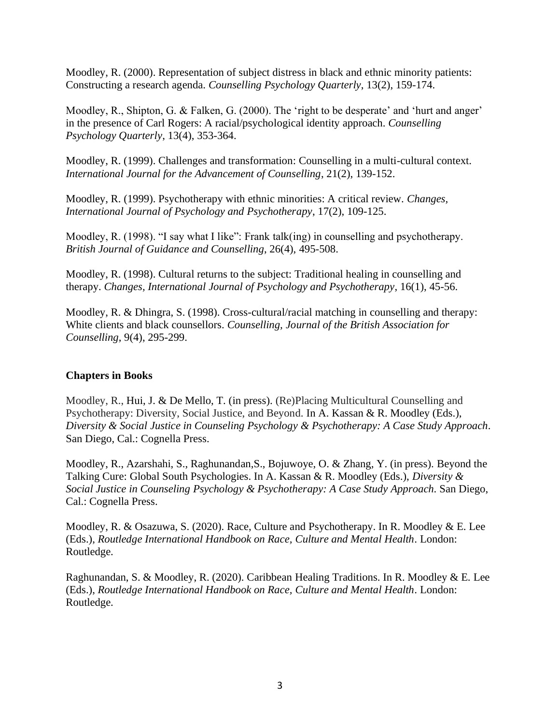Moodley, R. (2000). Representation of subject distress in black and ethnic minority patients: Constructing a research agenda. *Counselling Psychology Quarterly*, 13(2), 159-174.

Moodley, R., Shipton, G. & Falken, G. (2000). The 'right to be desperate' and 'hurt and anger' in the presence of Carl Rogers: A racial/psychological identity approach. *Counselling Psychology Quarterly*, 13(4), 353-364.

Moodley, R. (1999). Challenges and transformation: Counselling in a multi-cultural context. *International Journal for the Advancement of Counselling*, 21(2), 139-152.

Moodley, R. (1999). Psychotherapy with ethnic minorities: A critical review. *Changes, International Journal of Psychology and Psychotherapy*, 17(2), 109-125.

Moodley, R. (1998). "I say what I like": Frank talk(ing) in counselling and psychotherapy. *British Journal of Guidance and Counselling*, 26(4), 495-508.

Moodley, R. (1998). Cultural returns to the subject: Traditional healing in counselling and therapy. *Changes, International Journal of Psychology and Psychotherapy*, 16(1), 45-56.

Moodley, R. & Dhingra, S. (1998). Cross-cultural/racial matching in counselling and therapy: White clients and black counsellors. *Counselling, Journal of the British Association for Counselling*, 9(4), 295-299.

## **Chapters in Books**

Moodley, R., Hui, J. & De Mello, T. (in press). (Re)Placing Multicultural Counselling and Psychotherapy: Diversity, Social Justice, and Beyond. In A. Kassan & R. Moodley (Eds.), *Diversity & Social Justice in Counseling Psychology & Psychotherapy: A Case Study Approach.* San Diego, Cal.: Cognella Press.

Moodley, R., Azarshahi, S., Raghunandan,S., Bojuwoye, O. & Zhang, Y. (in press). Beyond the Talking Cure: Global South Psychologies. In A. Kassan & R. Moodley (Eds.), *Diversity & Social Justice in Counseling Psychology & Psychotherapy: A Case Study Approach.* San Diego, Cal.: Cognella Press.

Moodley, R. & Osazuwa, S. (2020). Race, Culture and Psychotherapy. In R. Moodley & E. Lee (Eds.), *Routledge International Handbook on Race, Culture and Mental Health*. London: Routledge.

Raghunandan, S. & Moodley, R. (2020). Caribbean Healing Traditions. In R. Moodley & E. Lee (Eds.), *Routledge International Handbook on Race, Culture and Mental Health*. London: Routledge.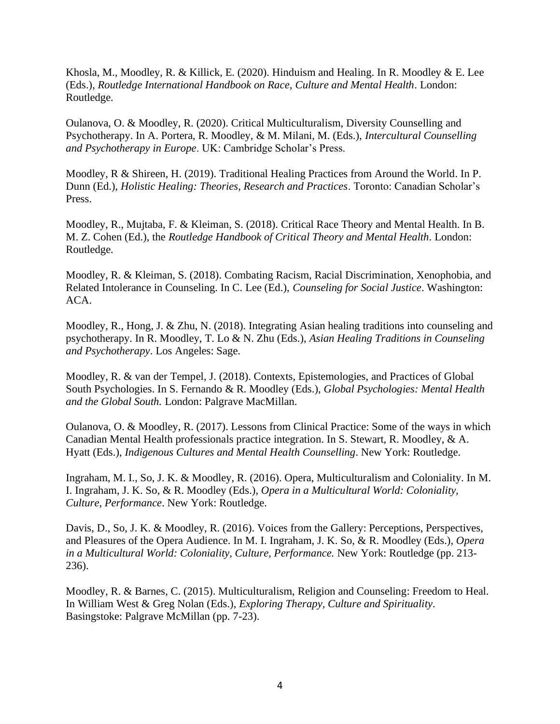Khosla, M., Moodley, R. & Killick, E. (2020). Hinduism and Healing. In R. Moodley & E. Lee (Eds.), *Routledge International Handbook on Race, Culture and Mental Health*. London: Routledge.

Oulanova, O. & Moodley, R. (2020). Critical Multiculturalism, Diversity Counselling and Psychotherapy. In A. Portera, R. Moodley, & M. Milani, M. (Eds.), *Intercultural Counselling and Psychotherapy in Europe*. UK: Cambridge Scholar's Press.

Moodley, R & Shireen, H. (2019). Traditional Healing Practices from Around the World. In P. Dunn (Ed.), *Holistic Healing: Theories, Research and Practices*. Toronto: Canadian Scholar's Press.

Moodley, R., Mujtaba, F. & Kleiman, S. (2018). Critical Race Theory and Mental Health. In B. M. Z. Cohen (Ed.), the *Routledge Handbook of Critical Theory and Mental Health*. London: Routledge.

Moodley, R. & Kleiman, S. (2018). Combating Racism, Racial Discrimination, Xenophobia, and Related Intolerance in Counseling. In C. Lee (Ed.), *Counseling for Social Justice*. Washington: ACA.

Moodley, R., Hong, J. & Zhu, N. (2018). Integrating Asian healing traditions into counseling and psychotherapy. In R. Moodley, T. Lo & N. Zhu (Eds.), *Asian Healing Traditions in Counseling and Psychotherapy*. Los Angeles: Sage.

Moodley, R. & van der Tempel, J. (2018). Contexts, Epistemologies, and Practices of Global South Psychologies. In S. Fernando & R. Moodley (Eds.), *Global Psychologies: Mental Health and the Global South.* London: Palgrave MacMillan.

Oulanova, O. & Moodley, R. (2017). Lessons from Clinical Practice: Some of the ways in which Canadian Mental Health professionals practice integration. In S. Stewart, R. Moodley, & A. Hyatt (Eds.), *Indigenous Cultures and Mental Health Counselling*. New York: Routledge.

Ingraham, M. I., So, J. K. & Moodley, R. (2016). Opera, Multiculturalism and Coloniality. In M. I. Ingraham, J. K. So, & R. Moodley (Eds.), *Opera in a Multicultural World: Coloniality, Culture, Performance*. New York: Routledge.

Davis, D., So, J. K. & Moodley, R. (2016). Voices from the Gallery: Perceptions, Perspectives, and Pleasures of the Opera Audience. In M. I. Ingraham, J. K. So, & R. Moodley (Eds.), *Opera in a Multicultural World: Coloniality, Culture, Performance.* New York: Routledge (pp. 213- 236).

Moodley, R. & Barnes, C. (2015). Multiculturalism, Religion and Counseling: Freedom to Heal. In William West & Greg Nolan (Eds.), *Exploring Therapy, Culture and Spirituality*. Basingstoke: Palgrave McMillan (pp. 7-23).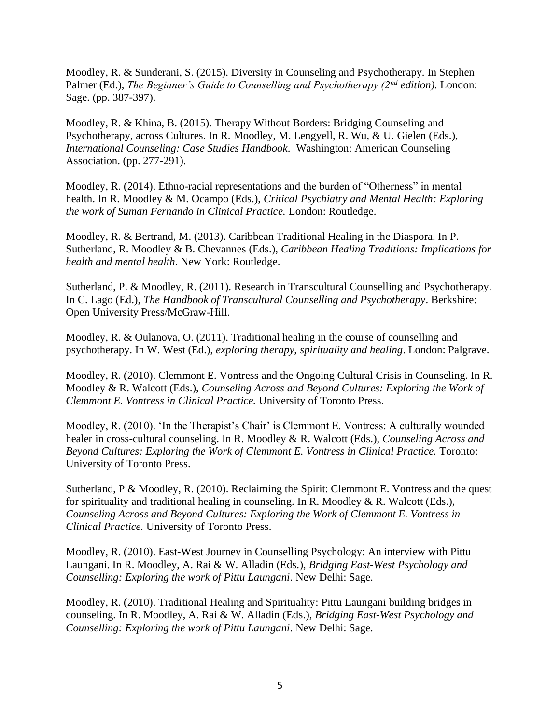Moodley, R. & Sunderani, S. (2015). Diversity in Counseling and Psychotherapy. In Stephen Palmer (Ed.), *The Beginner's Guide to Counselling and Psychotherapy (2nd edition).* London: Sage. (pp. 387-397).

Moodley, R. & Khina, B. (2015). Therapy Without Borders: Bridging Counseling and Psychotherapy, across Cultures. In R. Moodley, M. Lengyell, R. Wu, & U. Gielen (Eds.), *International Counseling: Case Studies Handbook*. Washington: American Counseling Association. (pp. 277-291).

Moodley, R. (2014). Ethno-racial representations and the burden of "Otherness" in mental health. In R. Moodley & M. Ocampo (Eds.), *Critical Psychiatry and Mental Health: Exploring the work of Suman Fernando in Clinical Practice.* London: Routledge.

Moodley, R. & Bertrand, M. (2013). Caribbean Traditional Healing in the Diaspora. In P. Sutherland, R. Moodley & B. Chevannes (Eds.), *Caribbean Healing Traditions: Implications for health and mental health*. New York: Routledge.

Sutherland, P. & Moodley, R. (2011). Research in Transcultural Counselling and Psychotherapy. In C. Lago (Ed.), *The Handbook of Transcultural Counselling and Psychotherapy*. Berkshire: Open University Press/McGraw-Hill.

Moodley, R. & Oulanova, O. (2011). Traditional healing in the course of counselling and psychotherapy. In W. West (Ed.), *exploring therapy, spirituality and healing*. London: Palgrave.

Moodley, R. (2010). Clemmont E. Vontress and the Ongoing Cultural Crisis in Counseling. In R. Moodley & R. Walcott (Eds.), *Counseling Across and Beyond Cultures: Exploring the Work of Clemmont E. Vontress in Clinical Practice.* University of Toronto Press.

Moodley, R. (2010). 'In the Therapist's Chair' is Clemmont E. Vontress: A culturally wounded healer in cross-cultural counseling. In R. Moodley & R. Walcott (Eds.), *Counseling Across and Beyond Cultures: Exploring the Work of Clemmont E. Vontress in Clinical Practice.* Toronto: University of Toronto Press.

Sutherland, P & Moodley, R. (2010). Reclaiming the Spirit: Clemmont E. Vontress and the quest for spirituality and traditional healing in counseling. In R. Moodley  $& R$ . Walcott (Eds.), *Counseling Across and Beyond Cultures: Exploring the Work of Clemmont E. Vontress in Clinical Practice.* University of Toronto Press.

Moodley, R. (2010). East-West Journey in Counselling Psychology: An interview with Pittu Laungani. In R. Moodley, A. Rai & W. Alladin (Eds.), *Bridging East-West Psychology and Counselling: Exploring the work of Pittu Laungani*. New Delhi: Sage.

Moodley, R. (2010). Traditional Healing and Spirituality: Pittu Laungani building bridges in counseling. In R. Moodley, A. Rai & W. Alladin (Eds.), *Bridging East-West Psychology and Counselling: Exploring the work of Pittu Laungani*. New Delhi: Sage.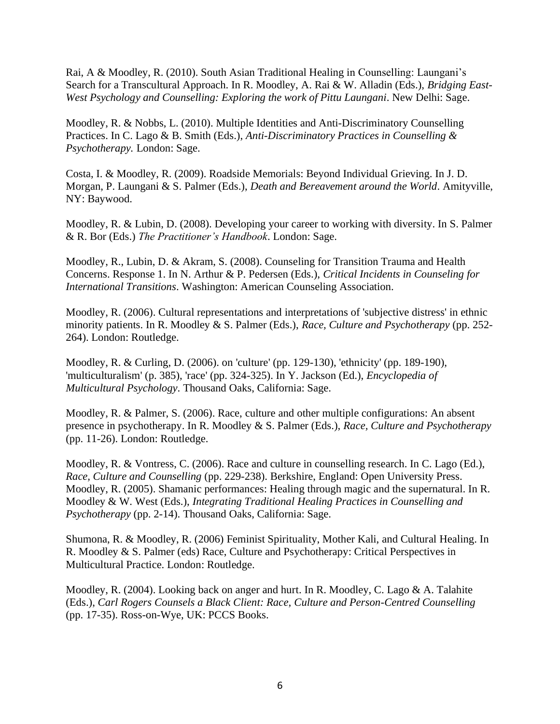Rai, A & Moodley, R. (2010). South Asian Traditional Healing in Counselling: Laungani's Search for a Transcultural Approach. In R. Moodley, A. Rai & W. Alladin (Eds.), *Bridging East-West Psychology and Counselling: Exploring the work of Pittu Laungani*. New Delhi: Sage.

Moodley, R. & Nobbs, L. (2010). Multiple Identities and Anti-Discriminatory Counselling Practices. In C. Lago & B. Smith (Eds.), *Anti-Discriminatory Practices in Counselling & Psychotherapy.* London: Sage.

Costa, I. & Moodley, R. (2009). Roadside Memorials: Beyond Individual Grieving. In J. D. Morgan, P. Laungani & S. Palmer (Eds.), *Death and Bereavement around the World*. Amityville, NY: Baywood.

Moodley, R. & Lubin, D. (2008). Developing your career to working with diversity. In S. Palmer & R. Bor (Eds.) *The Practitioner's Handbook*. London: Sage.

Moodley, R., Lubin, D. & Akram, S. (2008). Counseling for Transition Trauma and Health Concerns. Response 1. In N. Arthur & P. Pedersen (Eds.), *Critical Incidents in Counseling for International Transitions*. Washington: American Counseling Association.

Moodley, R. (2006). Cultural representations and interpretations of 'subjective distress' in ethnic minority patients. In R. Moodley & S. Palmer (Eds.), *Race, Culture and Psychotherapy* (pp. 252- 264). London: Routledge.

Moodley, R. & Curling, D. (2006). on 'culture' (pp. 129-130), 'ethnicity' (pp. 189-190), 'multiculturalism' (p. 385), 'race' (pp. 324-325). In Y. Jackson (Ed.), *Encyclopedia of Multicultural Psychology*. Thousand Oaks, California: Sage.

Moodley, R. & Palmer, S. (2006). Race, culture and other multiple configurations: An absent presence in psychotherapy. In R. Moodley & S. Palmer (Eds.), *Race, Culture and Psychotherapy*  (pp. 11-26). London: Routledge.

Moodley, R. & Vontress, C. (2006). Race and culture in counselling research. In C. Lago (Ed.), *Race, Culture and Counselling* (pp. 229-238). Berkshire, England: Open University Press. Moodley, R. (2005). Shamanic performances: Healing through magic and the supernatural. In R. Moodley & W. West (Eds.), *Integrating Traditional Healing Practices in Counselling and Psychotherapy* (pp. 2-14). Thousand Oaks, California: Sage.

Shumona, R. & Moodley, R. (2006) Feminist Spirituality, Mother Kali, and Cultural Healing. In R. Moodley & S. Palmer (eds) Race, Culture and Psychotherapy: Critical Perspectives in Multicultural Practice. London: Routledge.

Moodley, R. (2004). Looking back on anger and hurt. In R. Moodley, C. Lago & A. Talahite (Eds.), *Carl Rogers Counsels a Black Client: Race, Culture and Person-Centred Counselling*  (pp. 17-35). Ross-on-Wye, UK: PCCS Books.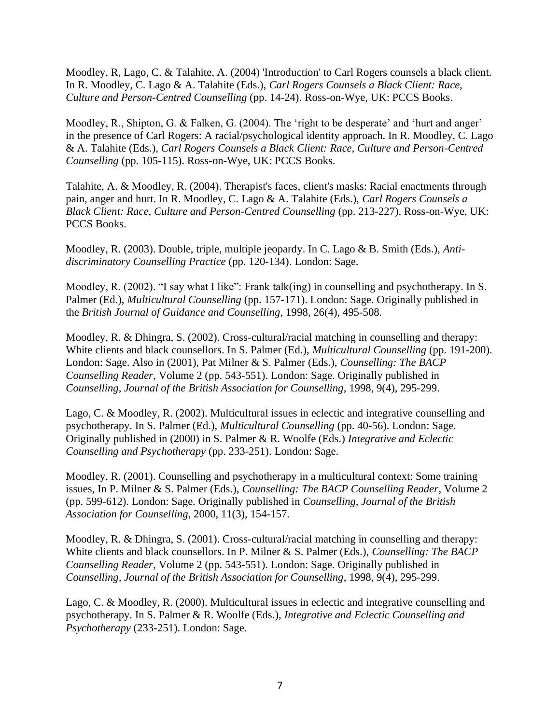Moodley, R, Lago, C. & Talahite, A. (2004) 'Introduction' to Carl Rogers counsels a black client. In R. Moodley, C. Lago & A. Talahite (Eds.), *Carl Rogers Counsels a Black Client: Race, Culture and Person-Centred Counselling* (pp. 14-24). Ross-on-Wye, UK: PCCS Books.

Moodley, R., Shipton, G. & Falken, G. (2004). The 'right to be desperate' and 'hurt and anger' in the presence of Carl Rogers: A racial/psychological identity approach. In R. Moodley, C. Lago & A. Talahite (Eds.), *Carl Rogers Counsels a Black Client: Race, Culture and Person-Centred Counselling* (pp. 105-115). Ross-on-Wye, UK: PCCS Books.

Talahite, A. & Moodley, R. (2004). Therapist's faces, client's masks: Racial enactments through pain, anger and hurt. In R. Moodley, C. Lago & A. Talahite (Eds.), *Carl Rogers Counsels a Black Client: Race, Culture and Person-Centred Counselling* (pp. 213-227). Ross-on-Wye, UK: PCCS Books.

Moodley, R. (2003). Double, triple, multiple jeopardy. In C. Lago & B. Smith (Eds.), *Antidiscriminatory Counselling Practice* (pp. 120-134). London: Sage.

Moodley, R. (2002). "I say what I like": Frank talk(ing) in counselling and psychotherapy. In S. Palmer (Ed.), *Multicultural Counselling* (pp. 157-171). London: Sage. Originally published in the *British Journal of Guidance and Counselling*, 1998, 26(4), 495-508.

Moodley, R. & Dhingra, S. (2002). Cross-cultural/racial matching in counselling and therapy: White clients and black counsellors. In S. Palmer (Ed.), *Multicultural Counselling* (pp. 191-200). London: Sage. Also in (2001), Pat Milner & S. Palmer (Eds.), *Counselling: The BACP Counselling Reader*, Volume 2 (pp. 543-551). London: Sage. Originally published in *Counselling, Journal of the British Association for Counselling*, 1998, 9(4), 295-299.

Lago, C. & Moodley, R. (2002). Multicultural issues in eclectic and integrative counselling and psychotherapy. In S. Palmer (Ed.), *Multicultural Counselling* (pp. 40-56). London: Sage. Originally published in (2000) in S. Palmer & R. Woolfe (Eds.) *Integrative and Eclectic Counselling and Psychotherapy* (pp. 233-251). London: Sage.

Moodley, R. (2001). Counselling and psychotherapy in a multicultural context: Some training issues, In P. Milner & S. Palmer (Eds.), *Counselling: The BACP Counselling Reader*, Volume 2 (pp. 599-612). London: Sage. Originally published in *Counselling, Journal of the British Association for Counselling*, 2000, 11(3), 154-157.

Moodley, R. & Dhingra, S. (2001). Cross-cultural/racial matching in counselling and therapy: White clients and black counsellors. In P. Milner & S. Palmer (Eds.), *Counselling: The BACP Counselling Reader*, Volume 2 (pp. 543-551). London: Sage. Originally published in *Counselling, Journal of the British Association for Counselling*, 1998, 9(4), 295-299.

Lago, C. & Moodley, R. (2000). Multicultural issues in eclectic and integrative counselling and psychotherapy. In S. Palmer & R. Woolfe (Eds.), *Integrative and Eclectic Counselling and Psychotherapy* (233-251). London: Sage.